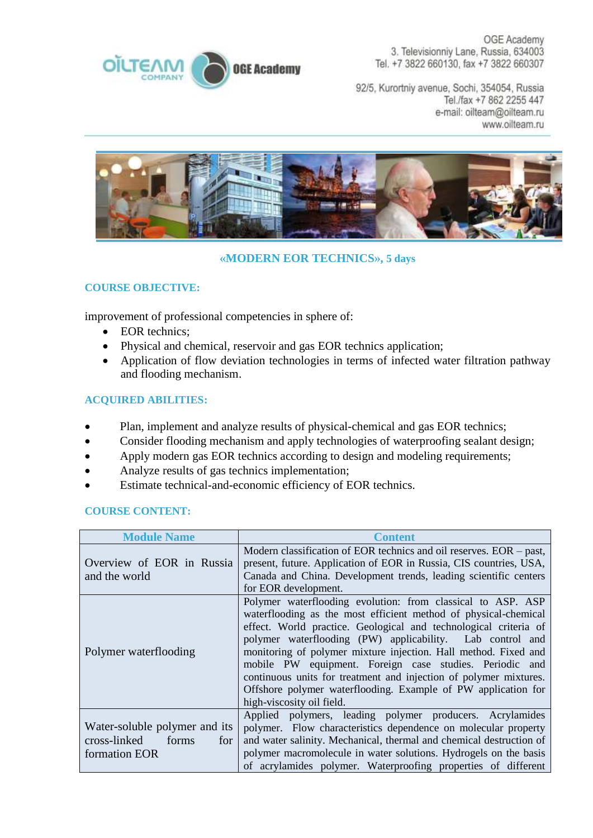

OGE Academy 3. Televisionniy Lane, Russia, 634003 Tel. +7 3822 660130, fax +7 3822 660307

92/5, Kurortniy avenue, Sochi, 354054, Russia Tel./fax +7 862 2255 447 e-mail: oilteam@oilteam.ru www.oilteam.ru



## **«MODERN EOR TECHNICS», 5 days**

## **COURSE OBJECTIVE:**

improvement of professional competencies in sphere of:

- EOR technics:
- Physical and chemical, reservoir and gas EOR technics application;
- Application of flow deviation technologies in terms of infected water filtration pathway and flooding mechanism.

## **ACQUIRED ABILITIES:**

- Plan, implement and analyze results of physical-chemical and gas EOR technics;
- Consider flooding mechanism and apply technologies of waterproofing sealant design;
- Apply modern gas EOR technics according to design and modeling requirements;
- Analyze results of gas technics implementation;
- Estimate technical-and-economic efficiency of EOR technics.

## **COURSE CONTENT:**

| <b>Module Name</b>                                                             | <b>Content</b>                                                                                                                                                                                                                                                                                                                                                                                                                                                                                                                                                   |
|--------------------------------------------------------------------------------|------------------------------------------------------------------------------------------------------------------------------------------------------------------------------------------------------------------------------------------------------------------------------------------------------------------------------------------------------------------------------------------------------------------------------------------------------------------------------------------------------------------------------------------------------------------|
| Overview of EOR in Russia<br>and the world                                     | Modern classification of EOR technics and oil reserves. EOR – past,<br>present, future. Application of EOR in Russia, CIS countries, USA,<br>Canada and China. Development trends, leading scientific centers<br>for EOR development.                                                                                                                                                                                                                                                                                                                            |
| Polymer waterflooding                                                          | Polymer waterflooding evolution: from classical to ASP. ASP<br>waterflooding as the most efficient method of physical-chemical<br>effect. World practice. Geological and technological criteria of<br>polymer waterflooding (PW) applicability. Lab control and<br>monitoring of polymer mixture injection. Hall method. Fixed and<br>mobile PW equipment. Foreign case studies. Periodic and<br>continuous units for treatment and injection of polymer mixtures.<br>Offshore polymer waterflooding. Example of PW application for<br>high-viscosity oil field. |
| Water-soluble polymer and its<br>cross-linked<br>forms<br>for<br>formation EOR | Applied polymers, leading polymer producers. Acrylamides<br>polymer. Flow characteristics dependence on molecular property<br>and water salinity. Mechanical, thermal and chemical destruction of<br>polymer macromolecule in water solutions. Hydrogels on the basis<br>of acrylamides polymer. Waterproofing properties of different                                                                                                                                                                                                                           |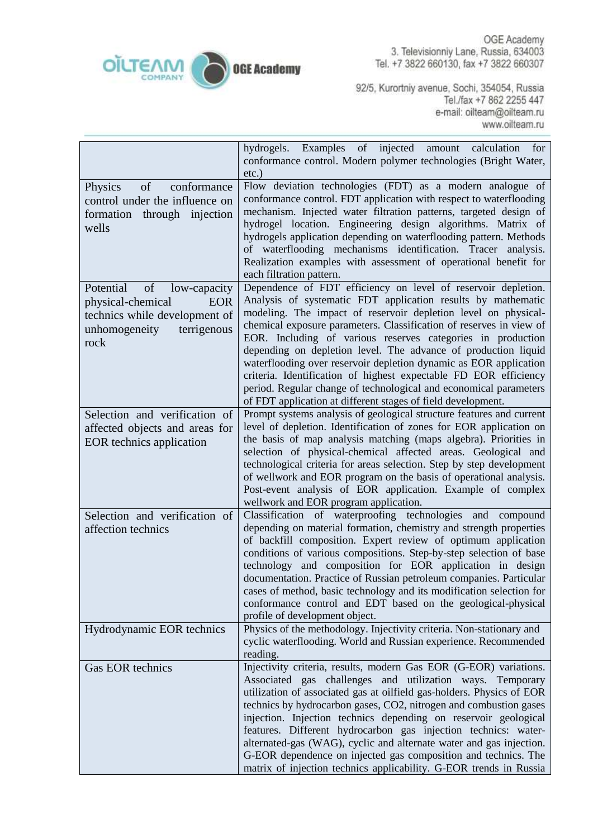

OGE Academy 3. Televisionniy Lane, Russia, 634003 Tel. +7 3822 660130, fax +7 3822 660307

92/5, Kurortniy avenue, Sochi, 354054, Russia Tel./fax +7 862 2255 447 e-mail: oilteam@oilteam.ru<br>www.oilteam.ru

|                                                                                                                                             | of injected amount<br>hydrogels. Examples<br>calculation<br>for<br>conformance control. Modern polymer technologies (Bright Water,<br>$etc.$ )                                                                                                                                                                                                                                                                                                                                                                                                                                                                                                                                        |
|---------------------------------------------------------------------------------------------------------------------------------------------|---------------------------------------------------------------------------------------------------------------------------------------------------------------------------------------------------------------------------------------------------------------------------------------------------------------------------------------------------------------------------------------------------------------------------------------------------------------------------------------------------------------------------------------------------------------------------------------------------------------------------------------------------------------------------------------|
| of<br>conformance<br>Physics<br>control under the influence on<br>formation through injection<br>wells                                      | Flow deviation technologies (FDT) as a modern analogue of<br>conformance control. FDT application with respect to waterflooding<br>mechanism. Injected water filtration patterns, targeted design of<br>hydrogel location. Engineering design algorithms. Matrix of<br>hydrogels application depending on waterflooding pattern. Methods<br>of waterflooding mechanisms identification. Tracer analysis.<br>Realization examples with assessment of operational benefit for<br>each filtration pattern.                                                                                                                                                                               |
| Potential<br>of<br>low-capacity<br>physical-chemical<br><b>EOR</b><br>technics while development of<br>unhomogeneity<br>terrigenous<br>rock | Dependence of FDT efficiency on level of reservoir depletion.<br>Analysis of systematic FDT application results by mathematic<br>modeling. The impact of reservoir depletion level on physical-<br>chemical exposure parameters. Classification of reserves in view of<br>EOR. Including of various reserves categories in production<br>depending on depletion level. The advance of production liquid<br>waterflooding over reservoir depletion dynamic as EOR application<br>criteria. Identification of highest expectable FD EOR efficiency<br>period. Regular change of technological and economical parameters<br>of FDT application at different stages of field development. |
| Selection and verification of<br>affected objects and areas for<br>EOR technics application                                                 | Prompt systems analysis of geological structure features and current<br>level of depletion. Identification of zones for EOR application on<br>the basis of map analysis matching (maps algebra). Priorities in<br>selection of physical-chemical affected areas. Geological and<br>technological criteria for areas selection. Step by step development<br>of wellwork and EOR program on the basis of operational analysis.<br>Post-event analysis of EOR application. Example of complex<br>wellwork and EOR program application.                                                                                                                                                   |
| Selection and verification of<br>affection technics                                                                                         | Classification of waterproofing technologies<br>and compound<br>depending on material formation, chemistry and strength properties<br>of backfill composition. Expert review of optimum application<br>conditions of various compositions. Step-by-step selection of base<br>technology and composition for EOR application in design<br>documentation. Practice of Russian petroleum companies. Particular<br>cases of method, basic technology and its modification selection for<br>conformance control and EDT based on the geological-physical<br>profile of development object.                                                                                                 |
| Hydrodynamic EOR technics                                                                                                                   | Physics of the methodology. Injectivity criteria. Non-stationary and<br>cyclic waterflooding. World and Russian experience. Recommended<br>reading.                                                                                                                                                                                                                                                                                                                                                                                                                                                                                                                                   |
| <b>Gas EOR technics</b>                                                                                                                     | Injectivity criteria, results, modern Gas EOR (G-EOR) variations.<br>Associated gas challenges and utilization ways. Temporary<br>utilization of associated gas at oilfield gas-holders. Physics of EOR<br>technics by hydrocarbon gases, CO2, nitrogen and combustion gases<br>injection. Injection technics depending on reservoir geological<br>features. Different hydrocarbon gas injection technics: water-<br>alternated-gas (WAG), cyclic and alternate water and gas injection.<br>G-EOR dependence on injected gas composition and technics. The<br>matrix of injection technics applicability. G-EOR trends in Russia                                                      |